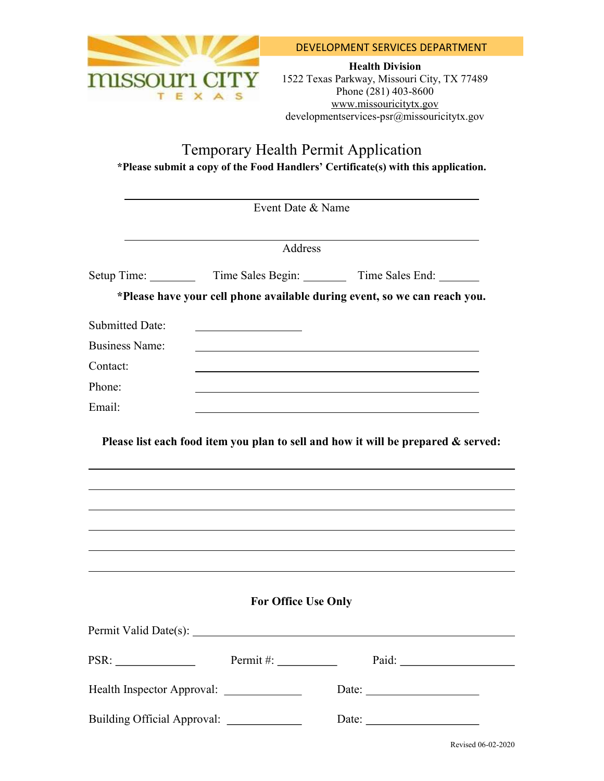

Health Division 1522 Texas Parkway, Missouri City, TX 77489 Phone (281) 403-8600 www.missouricitytx.gov developmentservices-psr@missouricitytx.gov

# Temporary Health Permit Application \*Please submit a copy of the Food Handlers' Certificate(s) with this application.

|                                           | Event Date & Name                                                                                                        |                                                                           |
|-------------------------------------------|--------------------------------------------------------------------------------------------------------------------------|---------------------------------------------------------------------------|
|                                           | Address                                                                                                                  |                                                                           |
|                                           |                                                                                                                          |                                                                           |
|                                           |                                                                                                                          | *Please have your cell phone available during event, so we can reach you. |
| <b>Submitted Date:</b>                    |                                                                                                                          |                                                                           |
| <b>Business Name:</b>                     |                                                                                                                          |                                                                           |
| Contact:                                  |                                                                                                                          |                                                                           |
| Phone:                                    |                                                                                                                          |                                                                           |
| Email:                                    |                                                                                                                          |                                                                           |
|                                           |                                                                                                                          |                                                                           |
|                                           |                                                                                                                          |                                                                           |
|                                           | <b>For Office Use Only</b>                                                                                               |                                                                           |
|                                           |                                                                                                                          |                                                                           |
|                                           | Permit #: $\_\_$                                                                                                         | Paid:                                                                     |
| Health Inspector Approval: ______________ |                                                                                                                          | Date:                                                                     |
| <b>Building Official Approval:</b>        | <u> 1990 - Johann Barbara, politik eta politik eta politik eta politik eta politik eta politik eta politik eta p</u> oli |                                                                           |